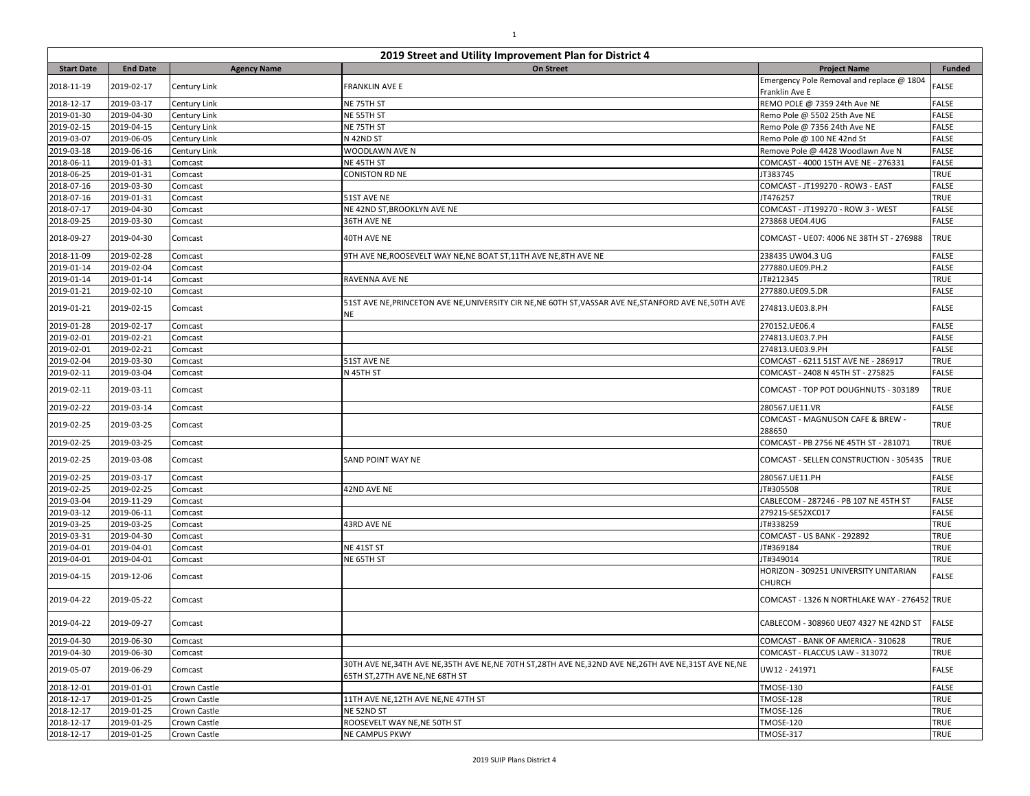| 2019 Street and Utility Improvement Plan for District 4 |                 |                    |                                                                                                                                       |                                                             |               |  |
|---------------------------------------------------------|-----------------|--------------------|---------------------------------------------------------------------------------------------------------------------------------------|-------------------------------------------------------------|---------------|--|
| <b>Start Date</b>                                       | <b>End Date</b> | <b>Agency Name</b> | <b>On Street</b>                                                                                                                      | <b>Project Name</b>                                         | <b>Funded</b> |  |
| 2018-11-19                                              | 2019-02-17      | Century Link       | <b>FRANKLIN AVE E</b>                                                                                                                 | Emergency Pole Removal and replace @ 1804<br>Franklin Ave E | <b>FALSE</b>  |  |
| 2018-12-17                                              | 2019-03-17      | Century Link       | NE 75TH ST                                                                                                                            | REMO POLE @ 7359 24th Ave NE                                | <b>FALSE</b>  |  |
| 2019-01-30                                              | 2019-04-30      | Century Link       | NE 55TH ST                                                                                                                            | Remo Pole @ 5502 25th Ave NE                                | <b>FALSE</b>  |  |
| 2019-02-15                                              | 2019-04-15      | Century Link       | NE 75TH ST                                                                                                                            | Remo Pole @ 7356 24th Ave NE                                | <b>FALSE</b>  |  |
| 2019-03-07                                              | 2019-06-05      | Century Link       | N 42ND ST                                                                                                                             | Remo Pole @ 100 NE 42nd St                                  | <b>FALSE</b>  |  |
| 2019-03-18                                              | 2019-06-16      | Century Link       | WOODLAWN AVE N                                                                                                                        | Remove Pole @ 4428 Woodlawn Ave N                           | <b>FALSE</b>  |  |
| 2018-06-11                                              | 2019-01-31      | Comcast            | NE 45TH ST                                                                                                                            | COMCAST - 4000 15TH AVE NE - 276331                         | <b>FALSE</b>  |  |
| 2018-06-25                                              | 2019-01-31      | Comcast            | CONISTON RD NE                                                                                                                        | JT383745                                                    | <b>TRUE</b>   |  |
| 2018-07-16                                              | 2019-03-30      | Comcast            |                                                                                                                                       | COMCAST - JT199270 - ROW3 - EAST                            | <b>FALSE</b>  |  |
| 2018-07-16                                              | 2019-01-31      | Comcast            | 51ST AVE NE                                                                                                                           | JT476257                                                    | <b>TRUE</b>   |  |
| 2018-07-17                                              | 2019-04-30      | Comcast            | NE 42ND ST, BROOKLYN AVE NE                                                                                                           | COMCAST - JT199270 - ROW 3 - WEST                           | <b>FALSE</b>  |  |
| 2018-09-25                                              | 2019-03-30      | Comcast            | 36TH AVE NE                                                                                                                           | 273868 UE04.4UG                                             | <b>FALSE</b>  |  |
| 2018-09-27                                              | 2019-04-30      | Comcast            | 40TH AVE NE                                                                                                                           | COMCAST - UE07: 4006 NE 38TH ST - 276988                    | TRUE          |  |
| 2018-11-09                                              | 2019-02-28      | Comcast            | 9TH AVE NE,ROOSEVELT WAY NE,NE BOAT ST,11TH AVE NE,8TH AVE NE                                                                         | 238435 UW04.3 UG                                            | <b>FALSE</b>  |  |
| 2019-01-14                                              | 2019-02-04      | Comcast            |                                                                                                                                       | 277880.UE09.PH.2                                            | <b>FALSE</b>  |  |
| 2019-01-14                                              | 2019-01-14      | Comcast            | RAVENNA AVE NE                                                                                                                        | JT#212345                                                   | <b>TRUE</b>   |  |
| 2019-01-21                                              | 2019-02-10      | Comcast            |                                                                                                                                       | 277880.UE09.5.DR                                            | <b>FALSE</b>  |  |
| 2019-01-21                                              | 2019-02-15      | Comcast            | 51ST AVE NE, PRINCETON AVE NE, UNIVERSITY CIR NE, NE 60TH ST, VASSAR AVE NE, STANFORD AVE NE, 50TH AVE<br>NE                          | 274813.UE03.8.PH                                            | <b>FALSE</b>  |  |
| 2019-01-28                                              | 2019-02-17      | Comcast            |                                                                                                                                       | 270152.UE06.4                                               | <b>FALSE</b>  |  |
| 2019-02-01                                              | 2019-02-21      | Comcast            |                                                                                                                                       | 274813.UE03.7.PH                                            | <b>FALSE</b>  |  |
| 2019-02-01                                              | 2019-02-21      | Comcast            |                                                                                                                                       | 274813.UE03.9.PH                                            | <b>FALSE</b>  |  |
| 2019-02-04                                              | 2019-03-30      | Comcast            | 51ST AVE NE                                                                                                                           | COMCAST - 6211 51ST AVE NE - 286917                         | <b>TRUE</b>   |  |
| 2019-02-11                                              | 2019-03-04      | Comcast            | N 45TH ST                                                                                                                             | COMCAST - 2408 N 45TH ST - 275825                           | <b>FALSE</b>  |  |
| 2019-02-11                                              | 2019-03-11      | Comcast            |                                                                                                                                       | COMCAST - TOP POT DOUGHNUTS - 303189                        | <b>TRUE</b>   |  |
| 2019-02-22                                              | 2019-03-14      | Comcast            |                                                                                                                                       | 280567.UE11.VR                                              | <b>FALSE</b>  |  |
| 2019-02-25                                              | 2019-03-25      | Comcast            |                                                                                                                                       | COMCAST - MAGNUSON CAFE & BREW -<br>288650                  | <b>TRUE</b>   |  |
| 2019-02-25                                              | 2019-03-25      | Comcast            |                                                                                                                                       | COMCAST - PB 2756 NE 45TH ST - 281071                       | <b>TRUE</b>   |  |
| 2019-02-25                                              | 2019-03-08      | Comcast            | SAND POINT WAY NE                                                                                                                     | COMCAST - SELLEN CONSTRUCTION - 305435                      | <b>TRUE</b>   |  |
| 2019-02-25                                              | 2019-03-17      | Comcast            |                                                                                                                                       | 280567.UE11.PH                                              | <b>FALSE</b>  |  |
| 2019-02-25                                              | 2019-02-25      | Comcast            | 42ND AVE NE                                                                                                                           | JT#305508                                                   | TRUE          |  |
| 2019-03-04                                              | 2019-11-29      | Comcast            |                                                                                                                                       | CABLECOM - 287246 - PB 107 NE 45TH ST                       | <b>FALSE</b>  |  |
| 2019-03-12                                              | 2019-06-11      | Comcast            |                                                                                                                                       | 279215-SE52XC017                                            | <b>FALSE</b>  |  |
| 2019-03-25                                              | 2019-03-25      | Comcast            | 43RD AVE NE                                                                                                                           | JT#338259                                                   | TRUE          |  |
| 2019-03-31                                              | 2019-04-30      | Comcast            |                                                                                                                                       | COMCAST - US BANK - 292892                                  | TRUE          |  |
| 2019-04-01                                              | 2019-04-01      | Comcast            | NE 41ST ST                                                                                                                            | JT#369184                                                   | <b>TRUE</b>   |  |
| 2019-04-01                                              | 2019-04-01      | Comcast            | NE 65TH ST                                                                                                                            | JT#349014                                                   | TRUE          |  |
| 2019-04-15                                              | 2019-12-06      | Comcast            |                                                                                                                                       | HORIZON - 309251 UNIVERSITY UNITARIAN<br><b>CHURCH</b>      | FALSE         |  |
| 2019-04-22                                              | 2019-05-22      | Comcast            |                                                                                                                                       | COMCAST - 1326 N NORTHLAKE WAY - 276452 TRUE                |               |  |
| 2019-04-22                                              | 2019-09-27      | Comcast            |                                                                                                                                       | CABLECOM - 308960 UE07 4327 NE 42ND ST FALSE                |               |  |
| 2019-04-30                                              | 2019-06-30      | Comcast            |                                                                                                                                       | COMCAST - BANK OF AMERICA - 310628                          | <b>TRUE</b>   |  |
| 2019-04-30                                              | 2019-06-30      | Comcast            |                                                                                                                                       | COMCAST - FLACCUS LAW - 313072                              | TRUE          |  |
| 2019-05-07                                              | 2019-06-29      | Comcast            | 30TH AVE NE,34TH AVE NE,35TH AVE NE,NE 70TH ST,28TH AVE NE,32ND AVE NE,26TH AVE NE,31ST AVE NE,NE<br>65TH ST, 27TH AVE NE, NE 68TH ST | UW12 - 241971                                               | <b>FALSE</b>  |  |
| 2018-12-01                                              | 2019-01-01      | Crown Castle       |                                                                                                                                       | <b>TMOSE-130</b>                                            | <b>FALSE</b>  |  |
| 2018-12-17                                              | 2019-01-25      | Crown Castle       | 11TH AVE NE, 12TH AVE NE, NE 47TH ST                                                                                                  | <b>TMOSE-128</b>                                            | <b>TRUE</b>   |  |
| 2018-12-17                                              | 2019-01-25      | Crown Castle       | NE 52ND ST                                                                                                                            | <b>TMOSE-126</b>                                            | <b>TRUE</b>   |  |
| 2018-12-17                                              | 2019-01-25      | Crown Castle       | ROOSEVELT WAY NE, NE 50TH ST                                                                                                          | <b>TMOSE-120</b>                                            | <b>TRUE</b>   |  |
| 2018-12-17                                              | 2019-01-25      | Crown Castle       | NE CAMPUS PKWY                                                                                                                        | TMOSE-317                                                   | <b>TRUE</b>   |  |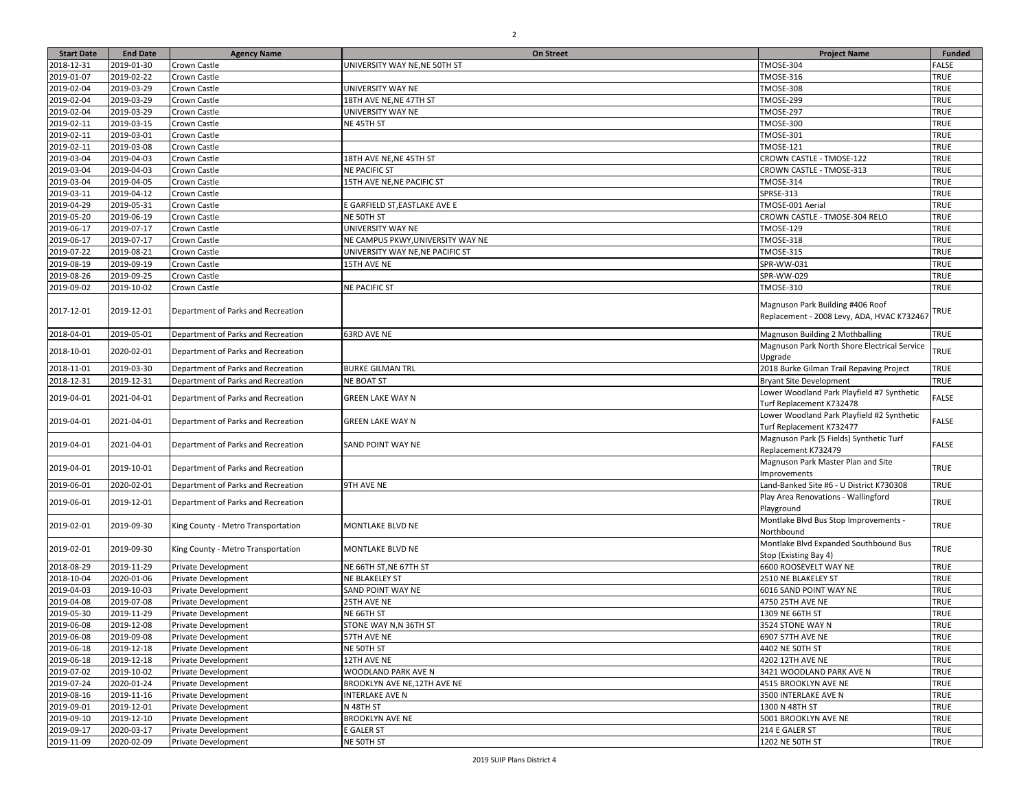| <b>Start Date</b> | <b>End Date</b> | <b>Agency Name</b>                 | On Street                         | <b>Project Name</b>                          | <b>Funded</b> |
|-------------------|-----------------|------------------------------------|-----------------------------------|----------------------------------------------|---------------|
| 2018-12-31        | 2019-01-30      | Crown Castle                       | UNIVERSITY WAY NE, NE 50TH ST     | TMOSE-304                                    | <b>FALSE</b>  |
| 2019-01-07        | 2019-02-22      | Crown Castle                       |                                   | <b>TMOSE-316</b>                             | <b>TRUE</b>   |
| 2019-02-04        | 2019-03-29      | Crown Castle                       | UNIVERSITY WAY NE                 | TMOSE-308                                    | <b>TRUE</b>   |
| 2019-02-04        | 2019-03-29      | Crown Castle                       | 18TH AVE NE, NE 47TH ST           | <b>TMOSE-299</b>                             | TRUE          |
| 2019-02-04        | 2019-03-29      | Crown Castle                       | UNIVERSITY WAY NE                 | <b>TMOSE-297</b>                             | <b>TRUE</b>   |
| 2019-02-11        | 2019-03-15      | Crown Castle                       | NE 45TH ST                        | <b>TMOSE-300</b>                             | TRUE          |
| 2019-02-11        | 2019-03-01      | Crown Castle                       |                                   | <b>TMOSE-301</b>                             | TRUE          |
| 2019-02-11        | 2019-03-08      | Crown Castle                       |                                   | <b>TMOSE-121</b>                             | TRUE          |
| 2019-03-04        | 2019-04-03      | Crown Castle                       | 18TH AVE NE, NE 45TH ST           | CROWN CASTLE - TMOSE-122                     | <b>TRUE</b>   |
| 2019-03-04        | 2019-04-03      | Crown Castle                       | <b>NE PACIFIC ST</b>              | CROWN CASTLE - TMOSE-313                     | TRUE          |
| 2019-03-04        | 2019-04-05      | Crown Castle                       | 15TH AVE NE, NE PACIFIC ST        | TMOSE-314                                    | TRUE          |
| 2019-03-11        | 2019-04-12      | Crown Castle                       |                                   | SPRSE-313                                    | TRUE          |
| 2019-04-29        | 2019-05-31      | Crown Castle                       | E GARFIELD ST, EASTLAKE AVE E     | TMOSE-001 Aerial                             | TRUE          |
| 2019-05-20        | 2019-06-19      | Crown Castle                       | NE 50TH ST                        | CROWN CASTLE - TMOSE-304 RELO                | TRUE          |
| 2019-06-17        | 2019-07-17      | Crown Castle                       | UNIVERSITY WAY NE                 | <b>TMOSE-129</b>                             | TRUE          |
| 2019-06-17        | 2019-07-17      | Crown Castle                       | NE CAMPUS PKWY, UNIVERSITY WAY NE | <b>TMOSE-318</b>                             | TRUE          |
| 2019-07-22        | 2019-08-21      | Crown Castle                       | UNIVERSITY WAY NE, NE PACIFIC ST  | <b>TMOSE-315</b>                             | <b>TRUE</b>   |
| 2019-08-19        | 2019-09-19      | Crown Castle                       | 15TH AVE NE                       | SPR-WW-031                                   | TRUE          |
| 2019-08-26        | 2019-09-25      | Crown Castle                       |                                   | SPR-WW-029                                   | <b>TRUE</b>   |
| 2019-09-02        | 2019-10-02      | Crown Castle                       | <b>NE PACIFIC ST</b>              | <b>TMOSE-310</b>                             | <b>TRUE</b>   |
|                   |                 |                                    |                                   |                                              |               |
| 2017-12-01        | 2019-12-01      | Department of Parks and Recreation |                                   | Magnuson Park Building #406 Roof             | <b>TRUE</b>   |
|                   |                 |                                    |                                   | Replacement - 2008 Levy, ADA, HVAC K732467   |               |
| 2018-04-01        | 2019-05-01      | Department of Parks and Recreation | 63RD AVE NE                       | Magnuson Building 2 Mothballing              | <b>TRUE</b>   |
|                   |                 |                                    |                                   | Magnuson Park North Shore Electrical Service |               |
| 2018-10-01        | 2020-02-01      | Department of Parks and Recreation |                                   | Upgrade                                      | <b>TRUE</b>   |
| 2018-11-01        | 2019-03-30      | Department of Parks and Recreation | <b>BURKE GILMAN TRL</b>           | 2018 Burke Gilman Trail Repaving Project     | <b>TRUE</b>   |
| 2018-12-31        | 2019-12-31      | Department of Parks and Recreation | <b>NE BOAT ST</b>                 | <b>Bryant Site Development</b>               | <b>TRUE</b>   |
|                   |                 |                                    |                                   | Lower Woodland Park Playfield #7 Synthetic   |               |
| 2019-04-01        | 2021-04-01      | Department of Parks and Recreation | <b>GREEN LAKE WAY N</b>           | Turf Replacement K732478                     | <b>FALSE</b>  |
|                   |                 |                                    |                                   | Lower Woodland Park Playfield #2 Synthetic   |               |
| 2019-04-01        | 2021-04-01      | Department of Parks and Recreation | <b>GREEN LAKE WAY N</b>           | Turf Replacement K732477                     | <b>FALSE</b>  |
|                   |                 |                                    |                                   | Magnuson Park (5 Fields) Synthetic Turf      |               |
| 2019-04-01        | 2021-04-01      | Department of Parks and Recreation | SAND POINT WAY NE                 | Replacement K732479                          | <b>FALSE</b>  |
|                   |                 |                                    |                                   | Magnuson Park Master Plan and Site           |               |
| 2019-04-01        | 2019-10-01      | Department of Parks and Recreation |                                   | Improvements                                 | <b>TRUE</b>   |
| 2019-06-01        | 2020-02-01      | Department of Parks and Recreation | 9TH AVE NE                        | Land-Banked Site #6 - U District K730308     | <b>TRUE</b>   |
|                   |                 |                                    |                                   | Play Area Renovations - Wallingford          |               |
| 2019-06-01        | 2019-12-01      | Department of Parks and Recreation |                                   | Playground                                   | <b>TRUE</b>   |
|                   |                 |                                    |                                   | Montlake Blvd Bus Stop Improvements -        |               |
| 2019-02-01        | 2019-09-30      | King County - Metro Transportation | MONTLAKE BLVD NE                  | Northbound                                   | <b>TRUE</b>   |
|                   |                 |                                    |                                   | Montlake Blvd Expanded Southbound Bus        |               |
| 2019-02-01        | 2019-09-30      | King County - Metro Transportation | MONTLAKE BLVD NE                  | Stop (Existing Bay 4)                        | <b>TRUE</b>   |
| 2018-08-29        | 2019-11-29      | Private Development                | NE 66TH ST, NE 67TH ST            | 6600 ROOSEVELT WAY NE                        | TRUE          |
| 2018-10-04        | 2020-01-06      | Private Development                | NE BLAKELEY ST                    | 2510 NE BLAKELEY ST                          | <b>TRUE</b>   |
| 2019-04-03        | 2019-10-03      | Private Development                | SAND POINT WAY NE                 | 6016 SAND POINT WAY NE                       | <b>TRUE</b>   |
| 2019-04-08        | 2019-07-08      | Private Development                | 25TH AVE NE                       | 4750 25TH AVE NE                             | <b>TRUE</b>   |
| 2019-05-30        | 2019-11-29      | Private Development                | NE 66TH ST                        | 1309 NE 66TH ST                              | <b>TRUE</b>   |
| 2019-06-08        | 2019-12-08      | Private Development                | STONE WAY N,N 36TH ST             | 3524 STONE WAY N                             | <b>TRUE</b>   |
| 2019-06-08        | 2019-09-08      | Private Development                | 57TH AVE NE                       | 6907 57TH AVE NE                             | <b>TRUE</b>   |
| 2019-06-18        | 2019-12-18      | Private Development                | NE 50TH ST                        | 4402 NE 50TH ST                              | <b>TRUE</b>   |
| 2019-06-18        | 2019-12-18      | <b>Private Development</b>         | 12TH AVE NE                       | 4202 12TH AVE NE                             | <b>TRUE</b>   |
| 2019-07-02        | 2019-10-02      | Private Development                | WOODLAND PARK AVE N               | 3421 WOODLAND PARK AVE N                     | <b>TRUE</b>   |
| 2019-07-24        | 2020-01-24      | Private Development                | BROOKLYN AVE NE,12TH AVE NE       | 4515 BROOKLYN AVE NE                         | <b>TRUE</b>   |
| 2019-08-16        | 2019-11-16      | Private Development                | INTERLAKE AVE N                   | 3500 INTERLAKE AVE N                         | <b>TRUE</b>   |
| 2019-09-01        | 2019-12-01      | Private Development                | N 48TH ST                         | 1300 N 48TH ST                               | <b>TRUE</b>   |
| 2019-09-10        | 2019-12-10      | Private Development                | <b>BROOKLYN AVE NE</b>            | 5001 BROOKLYN AVE NE                         | <b>TRUE</b>   |
| 2019-09-17        | 2020-03-17      | Private Development                | E GALER ST                        | 214 E GALER ST                               | <b>TRUE</b>   |
|                   |                 |                                    |                                   |                                              |               |

2019-11-09 2020-02-09 Private Development NE 50TH ST 1202 NE 50TH ST TRUE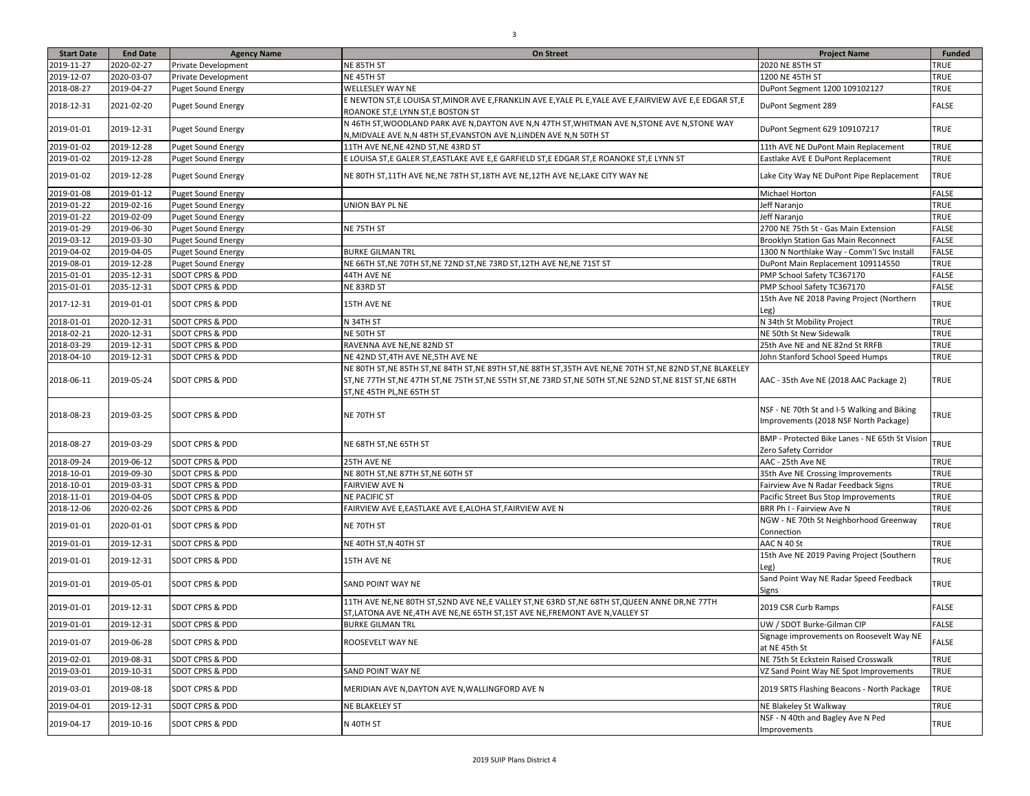| <b>Start Date</b> | <b>End Date</b> | <b>Agency Name</b>         | <b>On Street</b>                                                                                                                                                                                                                         | <b>Project Name</b>                                                                  | <b>Funded</b> |
|-------------------|-----------------|----------------------------|------------------------------------------------------------------------------------------------------------------------------------------------------------------------------------------------------------------------------------------|--------------------------------------------------------------------------------------|---------------|
| 2019-11-27        | 2020-02-27      | Private Development        | NE 85TH ST                                                                                                                                                                                                                               | 2020 NE 85TH ST                                                                      | TRUE          |
| 2019-12-07        | 2020-03-07      | Private Development        | NE 45TH ST                                                                                                                                                                                                                               | 1200 NE 45TH ST                                                                      | TRUE          |
| 2018-08-27        | 2019-04-27      | <b>Puget Sound Energy</b>  | WELLESLEY WAY NE                                                                                                                                                                                                                         | DuPont Segment 1200 109102127                                                        | TRUE          |
| 2018-12-31        | 2021-02-20      | <b>Puget Sound Energy</b>  | E NEWTON ST,E LOUISA ST,MINOR AVE E,FRANKLIN AVE E,YALE PL E,YALE AVE E,FAIRVIEW AVE E,E EDGAR ST,E<br>ROANOKE ST, E LYNN ST, E BOSTON ST                                                                                                | DuPont Segment 289                                                                   | FALSE         |
| 2019-01-01        | 2019-12-31      | <b>Puget Sound Energy</b>  | N 46TH ST, WOODLAND PARK AVE N, DAYTON AVE N, N 47TH ST, WHITMAN AVE N, STONE AVE N, STONE WAY<br>N, MIDVALE AVE N, N 48TH ST, EVANSTON AVE N, LINDEN AVE N, N 50TH ST                                                                   | DuPont Segment 629 109107217                                                         | TRUE          |
| 2019-01-02        | 2019-12-28      | Puget Sound Energy         | 11TH AVE NE, NE 42ND ST, NE 43RD ST                                                                                                                                                                                                      | 11th AVE NE DuPont Main Replacement                                                  | TRUE          |
| 2019-01-02        | 2019-12-28      | <b>Puget Sound Energy</b>  | E LOUISA ST,E GALER ST,EASTLAKE AVE E,E GARFIELD ST,E EDGAR ST,E ROANOKE ST,E LYNN ST                                                                                                                                                    | Eastlake AVE E DuPont Replacement                                                    | TRUE          |
| 2019-01-02        | 2019-12-28      | <b>Puget Sound Energy</b>  | NE 80TH ST, 11TH AVE NE, NE 78TH ST, 18TH AVE NE, 12TH AVE NE, LAKE CITY WAY NE                                                                                                                                                          | Lake City Way NE DuPont Pipe Replacement                                             | TRUE          |
| 2019-01-08        | 2019-01-12      | <b>Puget Sound Energy</b>  |                                                                                                                                                                                                                                          | Michael Horton                                                                       | <b>FALSE</b>  |
| 2019-01-22        | 2019-02-16      | <b>Puget Sound Energy</b>  | UNION BAY PL NE                                                                                                                                                                                                                          | Jeff Naranjo                                                                         | TRUE          |
| 2019-01-22        | 2019-02-09      | <b>Puget Sound Energy</b>  |                                                                                                                                                                                                                                          | Jeff Naranjo                                                                         | TRUE          |
| 2019-01-29        | 2019-06-30      | <b>Puget Sound Energy</b>  | NE 75TH ST                                                                                                                                                                                                                               | 2700 NE 75th St - Gas Main Extension                                                 | <b>FALSE</b>  |
| 2019-03-12        | 2019-03-30      | <b>Puget Sound Energy</b>  |                                                                                                                                                                                                                                          | Brooklyn Station Gas Main Reconnect                                                  | FALSE         |
| 2019-04-02        | 2019-04-05      | <b>Puget Sound Energy</b>  | BURKE GILMAN TRL                                                                                                                                                                                                                         | 1300 N Northlake Way - Comm'l Svc Install                                            | FALSE         |
| 2019-08-01        | 2019-12-28      | <b>Puget Sound Energy</b>  | NE 66TH ST,NE 70TH ST,NE 72ND ST,NE 73RD ST,12TH AVE NE,NE 71ST ST                                                                                                                                                                       | DuPont Main Replacement 109114550                                                    | TRUE          |
| 2015-01-01        | 2035-12-31      | SDOT CPRS & PDD            | 44TH AVE NE                                                                                                                                                                                                                              | PMP School Safety TC367170                                                           | FALSE         |
| 2015-01-01        | 2035-12-31      | SDOT CPRS & PDD            | NE 83RD ST                                                                                                                                                                                                                               | PMP School Safety TC367170                                                           | FALSE         |
| 2017-12-31        | 2019-01-01      | SDOT CPRS & PDD            | 15TH AVE NE                                                                                                                                                                                                                              | 15th Ave NE 2018 Paving Project (Northern<br>Leg)                                    | TRUE          |
| 2018-01-01        | 2020-12-31      | SDOT CPRS & PDD            | N 34TH ST                                                                                                                                                                                                                                | N 34th St Mobility Project                                                           | TRUE          |
| 2018-02-21        | 2020-12-31      | <b>SDOT CPRS &amp; PDD</b> | NE 50TH ST                                                                                                                                                                                                                               | NE 50th St New Sidewalk                                                              | TRUE          |
| 2018-03-29        | 2019-12-31      | SDOT CPRS & PDD            | RAVENNA AVE NE, NE 82ND ST                                                                                                                                                                                                               | 25th Ave NE and NE 82nd St RRFB                                                      | TRUE          |
| 2018-04-10        | 2019-12-31      | SDOT CPRS & PDD            | NE 42ND ST, 4TH AVE NE, 5TH AVE NE                                                                                                                                                                                                       | John Stanford School Speed Humps                                                     | TRUE          |
| 2018-06-11        | 2019-05-24      | <b>SDOT CPRS &amp; PDD</b> | NE 80TH ST,NE 85TH ST,NE 84TH ST,NE 89TH ST,NE 88TH ST,35TH AVE NE,NE 70TH ST,NE 82ND ST,NE BLAKELEY<br>ST,NE 77TH ST,NE 47TH ST,NE 75TH ST,NE 55TH ST,NE 73RD ST,NE 50TH ST,NE 52ND ST,NE 81ST ST,NE 68TH<br>ST, NE 45TH PL, NE 65TH ST | AAC - 35th Ave NE (2018 AAC Package 2)                                               | TRUE          |
| 2018-08-23        | 2019-03-25      | <b>SDOT CPRS &amp; PDD</b> | NE 70TH ST                                                                                                                                                                                                                               | NSF - NE 70th St and I-5 Walking and Biking<br>Improvements (2018 NSF North Package) | TRUE          |
| 2018-08-27        | 2019-03-29      | <b>SDOT CPRS &amp; PDD</b> | NE 68TH ST,NE 65TH ST                                                                                                                                                                                                                    | BMP - Protected Bike Lanes - NE 65th St Vision<br>Zero Safety Corridor               | TRUE          |
| 2018-09-24        | 2019-06-12      | SDOT CPRS & PDD            | 25TH AVE NE                                                                                                                                                                                                                              | AAC - 25th Ave NE                                                                    | <b>TRUE</b>   |
| 2018-10-01        | 2019-09-30      | SDOT CPRS & PDD            | NE 80TH ST, NE 87TH ST, NE 60TH ST                                                                                                                                                                                                       | 35th Ave NE Crossing Improvements                                                    | TRUE          |
| 2018-10-01        | 2019-03-31      | SDOT CPRS & PDD            | <b>FAIRVIEW AVE N</b>                                                                                                                                                                                                                    | Fairview Ave N Radar Feedback Signs                                                  | TRUE          |
| 2018-11-01        | 2019-04-05      | SDOT CPRS & PDD            | <b>NE PACIFIC ST</b>                                                                                                                                                                                                                     | Pacific Street Bus Stop Improvements                                                 | <b>TRUE</b>   |
| 2018-12-06        | 2020-02-26      | SDOT CPRS & PDD            | FAIRVIEW AVE E,EASTLAKE AVE E,ALOHA ST,FAIRVIEW AVE N                                                                                                                                                                                    | BRR Ph I - Fairview Ave N                                                            | TRUE          |
| 2019-01-01        | 2020-01-01      | SDOT CPRS & PDD            | NE 70TH ST                                                                                                                                                                                                                               | NGW - NE 70th St Neighborhood Greenway<br>Connection                                 | TRUE          |
| 2019-01-01        | 2019-12-31      | SDOT CPRS & PDD            | NE 40TH ST,N 40TH ST                                                                                                                                                                                                                     | AAC N 40 St                                                                          | <b>TRUE</b>   |
| 2019-01-01        | 2019-12-31      | <b>SDOT CPRS &amp; PDD</b> | 15TH AVE NE                                                                                                                                                                                                                              | 15th Ave NE 2019 Paving Project (Southern<br>Leg)                                    | TRUE          |
| 2019-01-01        | 2019-05-01      | SDOT CPRS & PDD            | SAND POINT WAY NE                                                                                                                                                                                                                        | Sand Point Way NE Radar Speed Feedback<br>Signs                                      | TRUE          |
| 2019-01-01        | 2019-12-31      | SDOT CPRS & PDD            | 11TH AVE NE,NE 80TH ST,52ND AVE NE,E VALLEY ST,NE 63RD ST,NE 68TH ST,QUEEN ANNE DR,NE 77TH<br>ST,LATONA AVE NE,4TH AVE NE,NE 65TH ST,1ST AVE NE,FREMONT AVE N,VALLEY ST                                                                  | 2019 CSR Curb Ramps                                                                  | FALSE         |
| 2019-01-01        | 2019-12-31      | <b>SDOT CPRS &amp; PDD</b> | <b>BURKE GILMAN TRL</b>                                                                                                                                                                                                                  | UW / SDOT Burke-Gilman CIP                                                           | <b>FALSE</b>  |
| 2019-01-07        | 2019-06-28      | <b>SDOT CPRS &amp; PDD</b> | ROOSEVELT WAY NE                                                                                                                                                                                                                         | Signage improvements on Roosevelt Way NE<br>at NE 45th St                            | FALSE         |
| 2019-02-01        | 2019-08-31      | SDOT CPRS & PDD            |                                                                                                                                                                                                                                          | NE 75th St Eckstein Raised Crosswalk                                                 | TRUE          |
| 2019-03-01        | 2019-10-31      | SDOT CPRS & PDD            | SAND POINT WAY NE                                                                                                                                                                                                                        | VZ Sand Point Way NE Spot Improvements                                               | TRUE          |
| 2019-03-01        | 2019-08-18      | SDOT CPRS & PDD            | MERIDIAN AVE N, DAYTON AVE N, WALLINGFORD AVE N                                                                                                                                                                                          | 2019 SRTS Flashing Beacons - North Package                                           | TRUE          |
| 2019-04-01        | 2019-12-31      | SDOT CPRS & PDD            | NE BLAKELEY ST                                                                                                                                                                                                                           | NE Blakeley St Walkway                                                               | <b>TRUE</b>   |
| 2019-04-17        | 2019-10-16      | <b>SDOT CPRS &amp; PDD</b> | N 40TH ST                                                                                                                                                                                                                                | NSF - N 40th and Bagley Ave N Ped<br>Improvements                                    | TRUE          |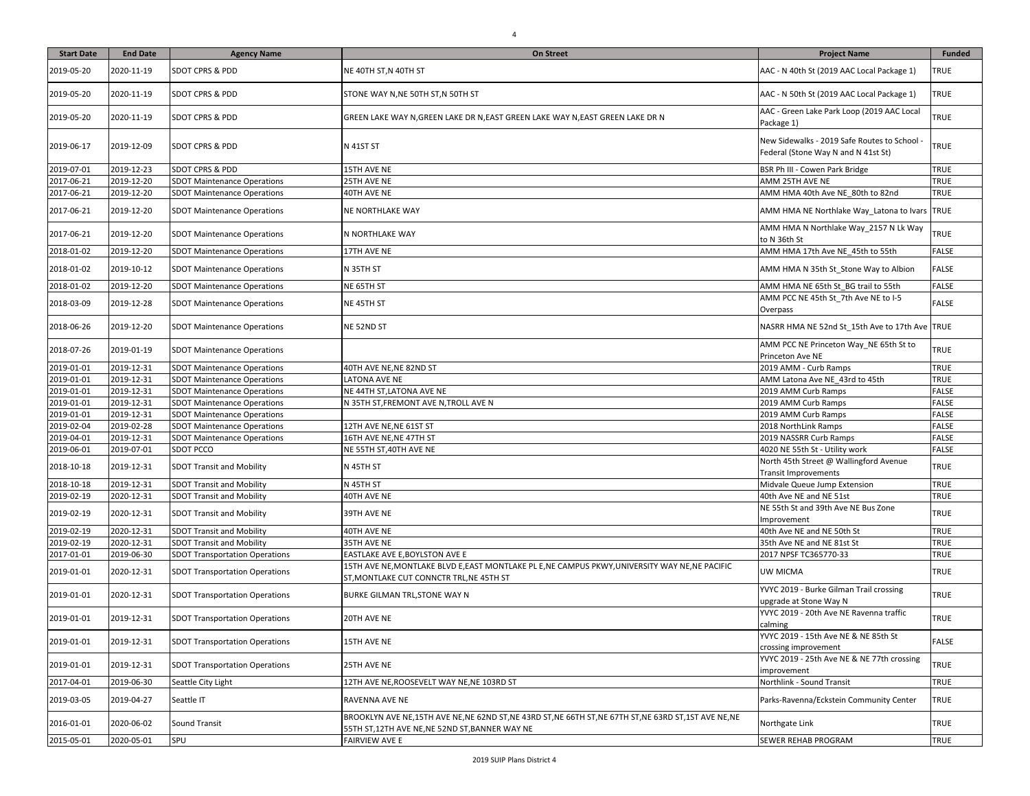| <b>Start Date</b> | <b>End Date</b> | <b>Agency Name</b>                    | On Street                                                                                                                                        | <b>Project Name</b>                                                               | <b>Funded</b> |
|-------------------|-----------------|---------------------------------------|--------------------------------------------------------------------------------------------------------------------------------------------------|-----------------------------------------------------------------------------------|---------------|
| 2019-05-20        | 2020-11-19      | <b>SDOT CPRS &amp; PDD</b>            | NE 40TH ST,N 40TH ST                                                                                                                             | AAC - N 40th St (2019 AAC Local Package 1)                                        | TRUE          |
| 2019-05-20        | 2020-11-19      | SDOT CPRS & PDD                       | STONE WAY N, NE 50TH ST, N 50TH ST                                                                                                               | AAC - N 50th St (2019 AAC Local Package 1)                                        | TRUE          |
| 2019-05-20        | 2020-11-19      | SDOT CPRS & PDD                       | GREEN LAKE WAY N, GREEN LAKE DR N, EAST GREEN LAKE WAY N, EAST GREEN LAKE DR N                                                                   | AAC - Green Lake Park Loop (2019 AAC Local<br>Package 1)                          | <b>TRUE</b>   |
| 2019-06-17        | 2019-12-09      | <b>SDOT CPRS &amp; PDD</b>            | <b>N 41ST ST</b>                                                                                                                                 | New Sidewalks - 2019 Safe Routes to School<br>Federal (Stone Way N and N 41st St) | <b>TRUE</b>   |
| 2019-07-01        | 2019-12-23      | <b>SDOT CPRS &amp; PDD</b>            | 15TH AVE NE                                                                                                                                      | BSR Ph III - Cowen Park Bridge                                                    | <b>TRUE</b>   |
| 2017-06-21        | 2019-12-20      | <b>SDOT Maintenance Operations</b>    | 25TH AVE NE                                                                                                                                      | AMM 25TH AVE NE                                                                   | <b>TRUE</b>   |
| 2017-06-21        | 2019-12-20      | <b>SDOT Maintenance Operations</b>    | 40TH AVE NE                                                                                                                                      | AMM HMA 40th Ave NE_80th to 82nd                                                  | <b>TRUE</b>   |
| 2017-06-21        | 2019-12-20      | <b>SDOT Maintenance Operations</b>    | NE NORTHLAKE WAY                                                                                                                                 | AMM HMA NE Northlake Way_Latona to Ivars TRUE                                     |               |
| 2017-06-21        | 2019-12-20      | <b>SDOT Maintenance Operations</b>    | N NORTHLAKE WAY                                                                                                                                  | AMM HMA N Northlake Way_2157 N Lk Way<br>to N 36th St                             | <b>TRUE</b>   |
| 2018-01-02        | 2019-12-20      | <b>SDOT Maintenance Operations</b>    | 17TH AVE NE                                                                                                                                      | AMM HMA 17th Ave NE 45th to 55th                                                  | <b>FALSE</b>  |
| 2018-01-02        | 2019-10-12      | <b>SDOT Maintenance Operations</b>    | N 35TH ST                                                                                                                                        | AMM HMA N 35th St_Stone Way to Albion                                             | <b>FALSE</b>  |
| 2018-01-02        | 2019-12-20      | <b>SDOT Maintenance Operations</b>    | NE 65TH ST                                                                                                                                       | AMM HMA NE 65th St BG trail to 55th                                               | <b>FALSE</b>  |
| 2018-03-09        | 2019-12-28      | <b>SDOT Maintenance Operations</b>    | NE 45TH ST                                                                                                                                       | AMM PCC NE 45th St_7th Ave NE to I-5<br>Overpass                                  | <b>FALSE</b>  |
| 2018-06-26        | 2019-12-20      | <b>SDOT Maintenance Operations</b>    | NE 52ND ST                                                                                                                                       | NASRR HMA NE 52nd St_15th Ave to 17th Ave TRUE                                    |               |
| 2018-07-26        | 2019-01-19      | <b>SDOT Maintenance Operations</b>    |                                                                                                                                                  | AMM PCC NE Princeton Way NE 65th St to<br>Princeton Ave NE                        | <b>TRUE</b>   |
| 2019-01-01        | 2019-12-31      | <b>SDOT Maintenance Operations</b>    | 40TH AVE NE, NE 82ND ST                                                                                                                          | 2019 AMM - Curb Ramps                                                             | <b>TRUE</b>   |
| 2019-01-01        | 2019-12-31      | <b>SDOT Maintenance Operations</b>    | <b>LATONA AVE NE</b>                                                                                                                             | AMM Latona Ave NE 43rd to 45th                                                    | <b>TRUE</b>   |
| 2019-01-01        | 2019-12-31      | <b>SDOT Maintenance Operations</b>    | NE 44TH ST, LATONA AVE NE                                                                                                                        | 2019 AMM Curb Ramps                                                               | <b>FALSE</b>  |
| 2019-01-01        | 2019-12-31      | <b>SDOT Maintenance Operations</b>    | N 35TH ST, FREMONT AVE N, TROLL AVE N                                                                                                            | 2019 AMM Curb Ramps                                                               | <b>FALSE</b>  |
| 2019-01-01        | 2019-12-31      | <b>SDOT Maintenance Operations</b>    |                                                                                                                                                  | 2019 AMM Curb Ramps                                                               | FALSE         |
| 2019-02-04        | 2019-02-28      | <b>SDOT Maintenance Operations</b>    | 12TH AVE NE, NE 61ST ST                                                                                                                          | 2018 NorthLink Ramps                                                              | <b>FALSE</b>  |
| 2019-04-01        | 2019-12-31      | <b>SDOT Maintenance Operations</b>    | 16TH AVE NE, NE 47TH ST                                                                                                                          | 2019 NASSRR Curb Ramps                                                            | <b>FALSE</b>  |
| 2019-06-01        | 2019-07-01      | SDOT PCCO                             | NE 55TH ST, 40TH AVE NE                                                                                                                          | 4020 NE 55th St - Utility work                                                    | <b>FALSE</b>  |
| 2018-10-18        | 2019-12-31      | <b>SDOT Transit and Mobility</b>      | N 45TH ST                                                                                                                                        | North 45th Street @ Wallingford Avenue<br><b>Transit Improvements</b>             | TRUE          |
| 2018-10-18        | 2019-12-31      | <b>SDOT Transit and Mobility</b>      | N 45TH ST                                                                                                                                        | Midvale Queue Jump Extension                                                      | <b>TRUE</b>   |
| 2019-02-19        | 2020-12-31      | <b>SDOT Transit and Mobility</b>      | 40TH AVE NE                                                                                                                                      | 40th Ave NE and NE 51st                                                           | <b>TRUE</b>   |
| 2019-02-19        | 2020-12-31      | <b>SDOT Transit and Mobility</b>      | 39TH AVE NE                                                                                                                                      | NE 55th St and 39th Ave NE Bus Zone<br>Improvement                                | <b>TRUE</b>   |
| 2019-02-19        | 2020-12-31      | <b>SDOT Transit and Mobility</b>      | 40TH AVE NE                                                                                                                                      | 40th Ave NE and NE 50th St                                                        | <b>TRUE</b>   |
| 2019-02-19        | 2020-12-31      | <b>SDOT Transit and Mobility</b>      | 35TH AVE NE                                                                                                                                      | 35th Ave NE and NE 81st St                                                        | <b>TRUE</b>   |
| 2017-01-01        | 2019-06-30      | <b>SDOT Transportation Operations</b> | EASTLAKE AVE E, BOYLSTON AVE E                                                                                                                   | 2017 NPSF TC365770-33                                                             | <b>TRUE</b>   |
| 2019-01-01        | 2020-12-31      | <b>SDOT Transportation Operations</b> | 15TH AVE NE, MONTLAKE BLVD E, EAST MONTLAKE PL E, NE CAMPUS PKWY, UNIVERSITY WAY NE, NE PACIFIC<br>ST, MONTLAKE CUT CONNCTR TRL, NE 45TH ST      | UW MICMA                                                                          | <b>TRUE</b>   |
| 2019-01-01        | 2020-12-31      | <b>SDOT Transportation Operations</b> | BURKE GILMAN TRL, STONE WAY N                                                                                                                    | YVYC 2019 - Burke Gilman Trail crossing<br>upgrade at Stone Way N                 | TRUE          |
| 2019-01-01        | 2019-12-31      | <b>SDOT Transportation Operations</b> | 20TH AVE NE                                                                                                                                      | YVYC 2019 - 20th Ave NE Ravenna traffic<br>calming                                | <b>TRUE</b>   |
| 2019-01-01        | 2019-12-31      | <b>SDOT Transportation Operations</b> | 15TH AVE NE                                                                                                                                      | YVYC 2019 - 15th Ave NE & NE 85th St<br>crossing improvement                      | FALSE         |
| 2019-01-01        | 2019-12-31      | <b>SDOT Transportation Operations</b> | 25TH AVE NE                                                                                                                                      | YVYC 2019 - 25th Ave NE & NE 77th crossing<br>improvement                         | TRUE          |
| 2017-04-01        | 2019-06-30      | Seattle City Light                    | 12TH AVE NE, ROOSEVELT WAY NE, NE 103RD ST                                                                                                       | Northlink - Sound Transit                                                         | <b>TRUE</b>   |
| 2019-03-05        | 2019-04-27      | Seattle IT                            | RAVENNA AVE NE                                                                                                                                   | Parks-Ravenna/Eckstein Community Center                                           | <b>TRUE</b>   |
| 2016-01-01        | 2020-06-02      | Sound Transit                         | BROOKLYN AVE NE,15TH AVE NE,NE 62ND ST,NE 43RD ST,NE 66TH ST,NE 67TH ST,NE 63RD ST,1ST AVE NE,NE<br>55TH ST,12TH AVE NE,NE 52ND ST,BANNER WAY NE | Northgate Link                                                                    | TRUE          |
| 2015-05-01        | 2020-05-01      | SPU                                   | <b>FAIRVIEW AVE E</b>                                                                                                                            | SEWER REHAB PROGRAM                                                               | <b>TRUE</b>   |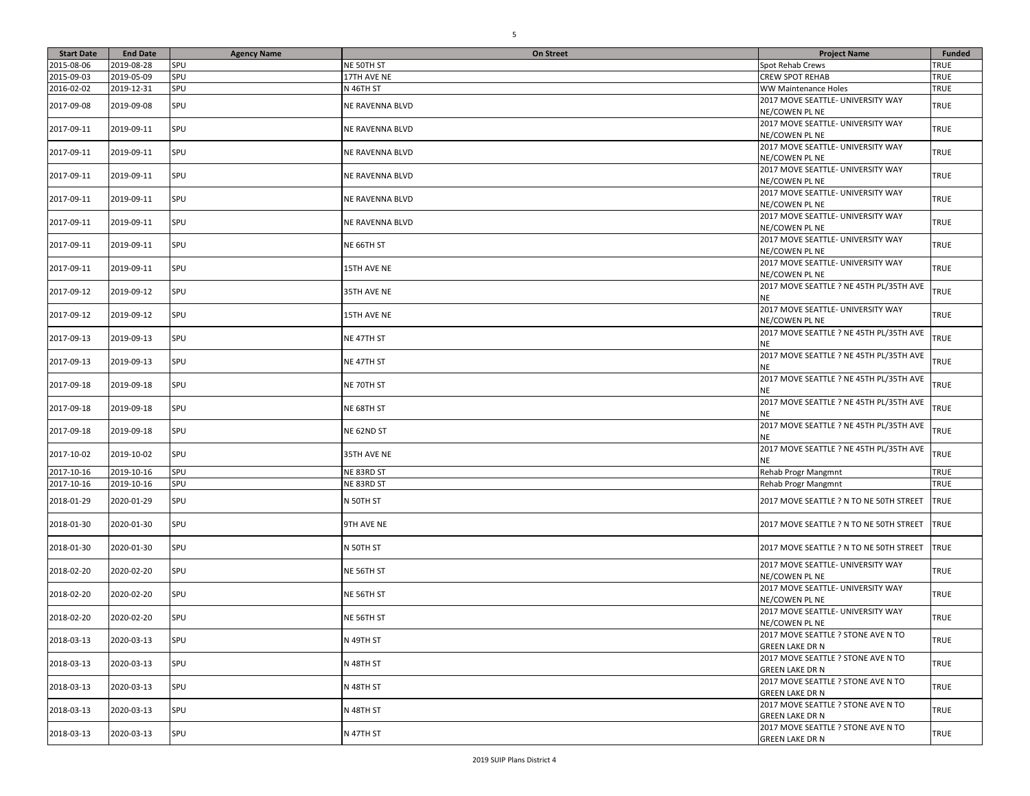| <b>Start Date</b> | <b>End Date</b> | <b>Agency Name</b> | <b>On Street</b>       | <b>Project Name</b>                                          | <b>Funded</b> |
|-------------------|-----------------|--------------------|------------------------|--------------------------------------------------------------|---------------|
| 2015-08-06        | 2019-08-28      | SPU                | NE 50TH ST             | Spot Rehab Crews                                             | TRUE          |
| 2015-09-03        | 2019-05-09      | SPU                | 17TH AVE NE            | CREW SPOT REHAB                                              | TRUE          |
| 2016-02-02        | 2019-12-31      | SPU                | N 46TH ST              | WW Maintenance Holes                                         | TRUE          |
| 2017-09-08        | 2019-09-08      | SPU                | NE RAVENNA BLVD        | 2017 MOVE SEATTLE- UNIVERSITY WAY<br>NE/COWEN PL NE          | <b>TRUE</b>   |
| 2017-09-11        | 2019-09-11      | SPU                | NE RAVENNA BLVD        | 2017 MOVE SEATTLE- UNIVERSITY WAY<br>NE/COWEN PL NE          | <b>TRUE</b>   |
| 2017-09-11        | 2019-09-11      | SPU                | NE RAVENNA BLVD        | 2017 MOVE SEATTLE- UNIVERSITY WAY<br>NE/COWEN PL NE          | <b>TRUE</b>   |
| 2017-09-11        | 2019-09-11      | SPU                | NE RAVENNA BLVD        | 2017 MOVE SEATTLE- UNIVERSITY WAY<br>NE/COWEN PL NE          | <b>TRUE</b>   |
| 2017-09-11        | 2019-09-11      | SPU                | <b>NE RAVENNA BLVD</b> | 2017 MOVE SEATTLE- UNIVERSITY WAY<br><b>NE/COWEN PL NE</b>   | <b>TRUE</b>   |
| 2017-09-11        | 2019-09-11      | SPU                | NE RAVENNA BLVD        | 2017 MOVE SEATTLE- UNIVERSITY WAY<br>NE/COWEN PL NE          | <b>TRUE</b>   |
| 2017-09-11        | 2019-09-11      | SPU                | NE 66TH ST             | 2017 MOVE SEATTLE- UNIVERSITY WAY<br>NE/COWEN PL NE          | <b>TRUE</b>   |
| 2017-09-11        | 2019-09-11      | SPU                | 15TH AVE NE            | 2017 MOVE SEATTLE- UNIVERSITY WAY<br>NE/COWEN PL NE          | <b>TRUE</b>   |
| 2017-09-12        | 2019-09-12      | SPU                | 35TH AVE NE            | 2017 MOVE SEATTLE ? NE 45TH PL/35TH AVE<br>NE                | TRUE          |
| 2017-09-12        | 2019-09-12      | SPU                | 15TH AVE NE            | 2017 MOVE SEATTLE- UNIVERSITY WAY<br>NE/COWEN PL NE          | <b>TRUE</b>   |
| 2017-09-13        | 2019-09-13      | SPU                | NE 47TH ST             | 2017 MOVE SEATTLE ? NE 45TH PL/35TH AVE<br><b>NE</b>         | TRUE          |
| 2017-09-13        | 2019-09-13      | SPU                | NE 47TH ST             | 2017 MOVE SEATTLE ? NE 45TH PL/35TH AVE<br>NE                | TRUE          |
| 2017-09-18        | 2019-09-18      | SPU                | NE 70TH ST             | 2017 MOVE SEATTLE ? NE 45TH PL/35TH AVE<br>NE                | TRUE          |
| 2017-09-18        | 2019-09-18      | SPU                | NE 68TH ST             | 2017 MOVE SEATTLE ? NE 45TH PL/35TH AVE<br>ΝE                | TRUE          |
| 2017-09-18        | 2019-09-18      | SPU                | NE 62ND ST             | 2017 MOVE SEATTLE ? NE 45TH PL/35TH AVE<br>ΝE                | TRUE          |
| 2017-10-02        | 2019-10-02      | SPU                | 35TH AVE NE            | 2017 MOVE SEATTLE ? NE 45TH PL/35TH AVE<br>NE.               | TRUE          |
| 2017-10-16        | 2019-10-16      | SPU                | NE 83RD ST             | Rehab Progr Mangmnt                                          | <b>TRUE</b>   |
| 2017-10-16        | 2019-10-16      | SPU                | NE 83RD ST             | Rehab Progr Mangmnt                                          | <b>TRUE</b>   |
| 2018-01-29        | 2020-01-29      | SPU                | N 50TH ST              | 2017 MOVE SEATTLE ? N TO NE 50TH STREET                      | <b>TRUE</b>   |
| 2018-01-30        | 2020-01-30      | SPU                | 9TH AVE NE             | 2017 MOVE SEATTLE ? N TO NE 50TH STREET                      | <b>TRUE</b>   |
| 2018-01-30        | 2020-01-30      | SPU                | N 50TH ST              | 2017 MOVE SEATTLE ? N TO NE 50TH STREET                      | <b>TRUE</b>   |
| 2018-02-20        | 2020-02-20      | SPU                | NE 56TH ST             | 2017 MOVE SEATTLE- UNIVERSITY WAY<br>NE/COWEN PL NE          | TRUE          |
| 2018-02-20        | 2020-02-20      | SPU                | NE 56TH ST             | 2017 MOVE SEATTLE- UNIVERSITY WAY<br>NE/COWEN PL NE          | <b>TRUE</b>   |
| 2018-02-20        | 2020-02-20      | SPU                | NE 56TH ST             | 2017 MOVE SEATTLE- UNIVERSITY WAY<br>NE/COWEN PL NE          | <b>TRUE</b>   |
| 2018-03-13        | 2020-03-13      | SPU                | N 49TH ST              | 2017 MOVE SEATTLE ? STONE AVE N TO<br>GREEN LAKE DR N        | <b>TRUE</b>   |
| 2018-03-13        | 2020-03-13      | SPU                | N 48TH ST              | 2017 MOVE SEATTLE ? STONE AVE N TO<br>GREEN LAKE DR N        | <b>TRUE</b>   |
| 2018-03-13        | 2020-03-13      | SPU                | N 48TH ST              | 2017 MOVE SEATTLE ? STONE AVE N TO<br>GREEN LAKE DR N        | TRUE          |
| 2018-03-13        | 2020-03-13      | SPU                | N 48TH ST              | 2017 MOVE SEATTLE ? STONE AVE N TO<br><b>GREEN LAKE DR N</b> | TRUE          |
| 2018-03-13        | 2020-03-13      | SPU                | N 47TH ST              | 2017 MOVE SEATTLE ? STONE AVE N TO<br><b>GREEN LAKE DR N</b> | TRUE          |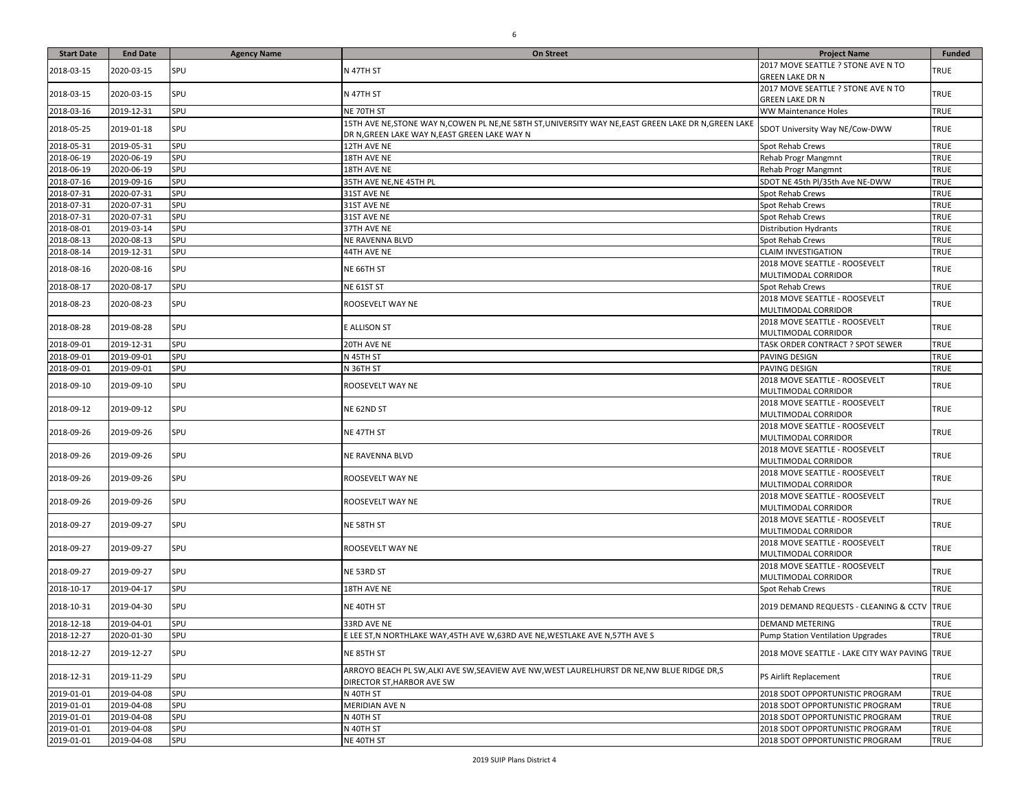| <b>Start Date</b> | <b>End Date</b> | <b>Agency Name</b> | On Street                                                                                                                                               | <b>Project Name</b>                                          | Funded      |
|-------------------|-----------------|--------------------|---------------------------------------------------------------------------------------------------------------------------------------------------------|--------------------------------------------------------------|-------------|
| 2018-03-15        | 2020-03-15      | SPU                | N 47TH ST                                                                                                                                               | 2017 MOVE SEATTLE ? STONE AVE N TO<br><b>GREEN LAKE DR N</b> | <b>TRUE</b> |
| 2018-03-15        | 2020-03-15      | SPU                | N 47TH ST                                                                                                                                               | 2017 MOVE SEATTLE ? STONE AVE N TO<br><b>GREEN LAKE DR N</b> | <b>TRUE</b> |
| 2018-03-16        | 2019-12-31      | SPU                | NE 70TH ST                                                                                                                                              | WW Maintenance Holes                                         | <b>TRUE</b> |
| 2018-05-25        | 2019-01-18      | SPU                | 15TH AVE NE, STONE WAY N, COWEN PL NE, NE 58TH ST, UNIVERSITY WAY NE, EAST GREEN LAKE DR N, GREEN LAKE<br>DR N, GREEN LAKE WAY N, EAST GREEN LAKE WAY N | SDOT University Way NE/Cow-DWW                               | <b>TRUE</b> |
| 2018-05-31        | 2019-05-31      | SPU                | 12TH AVE NE                                                                                                                                             | Spot Rehab Crews                                             | TRUE        |
| 2018-06-19        | 2020-06-19      | SPU                | 18TH AVE NE                                                                                                                                             | Rehab Progr Mangmnt                                          | TRUE        |
| 2018-06-19        | 2020-06-19      | SPU                | 18TH AVE NE                                                                                                                                             | Rehab Progr Mangmnt                                          | TRUE        |
| 2018-07-16        | 2019-09-16      | SPU                | 35TH AVE NE, NE 45TH PL                                                                                                                                 | SDOT NE 45th Pl/35th Ave NE-DWW                              | TRUE        |
| 2018-07-31        | 2020-07-31      | SPU                | 31ST AVE NE                                                                                                                                             | Spot Rehab Crews                                             | TRUE        |
| 2018-07-31        | 2020-07-31      | SPU                | 31ST AVE NE                                                                                                                                             | Spot Rehab Crews                                             | TRUE        |
| 2018-07-31        | 2020-07-31      | SPU                | 31ST AVE NE                                                                                                                                             | Spot Rehab Crews                                             | TRUE        |
| 2018-08-01        | 2019-03-14      | SPU                | 37TH AVE NE                                                                                                                                             | <b>Distribution Hydrants</b>                                 | TRUE        |
| 2018-08-13        | 2020-08-13      | SPU                | <b>NE RAVENNA BLVD</b>                                                                                                                                  | Spot Rehab Crews                                             | TRUE        |
| 2018-08-14        | 2019-12-31      | SPU                | 44TH AVE NE                                                                                                                                             | <b>CLAIM INVESTIGATION</b>                                   | TRUE        |
| 2018-08-16        | 2020-08-16      | SPU                | NE 66TH ST                                                                                                                                              | 2018 MOVE SEATTLE - ROOSEVELT<br>MULTIMODAL CORRIDOR         | <b>TRUE</b> |
| 2018-08-17        | 2020-08-17      | SPU                | NE 61ST ST                                                                                                                                              | Spot Rehab Crews                                             | TRUE        |
| 2018-08-23        | 2020-08-23      | SPU                | ROOSEVELT WAY NE                                                                                                                                        | 2018 MOVE SEATTLE - ROOSEVELT<br>MULTIMODAL CORRIDOR         | <b>TRUE</b> |
| 2018-08-28        | 2019-08-28      | SPU                | E ALLISON ST                                                                                                                                            | 2018 MOVE SEATTLE - ROOSEVELT<br>MULTIMODAL CORRIDOR         | <b>TRUE</b> |
| 2018-09-01        | 2019-12-31      | SPU                | 20TH AVE NE                                                                                                                                             | TASK ORDER CONTRACT ? SPOT SEWER                             | <b>TRUE</b> |
| 2018-09-01        | 2019-09-01      | SPU                | N 45TH ST                                                                                                                                               | PAVING DESIGN                                                | TRUE        |
| 2018-09-01        | 2019-09-01      | SPU                | N 36TH ST                                                                                                                                               | PAVING DESIGN                                                | TRUE        |
| 2018-09-10        | 2019-09-10      | SPU                | ROOSEVELT WAY NE                                                                                                                                        | 2018 MOVE SEATTLE - ROOSEVELT<br>MULTIMODAL CORRIDOR         | <b>TRUE</b> |
| 2018-09-12        | 2019-09-12      | SPU                | NE 62ND ST                                                                                                                                              | 2018 MOVE SEATTLE - ROOSEVELT<br>MULTIMODAL CORRIDOR         | <b>TRUE</b> |
| 2018-09-26        | 2019-09-26      | SPU                | NE 47TH ST                                                                                                                                              | 2018 MOVE SEATTLE - ROOSEVELT<br>MULTIMODAL CORRIDOR         | <b>TRUE</b> |
| 2018-09-26        | 2019-09-26      | SPU                | NE RAVENNA BLVD                                                                                                                                         | 2018 MOVE SEATTLE - ROOSEVELT<br>MULTIMODAL CORRIDOR         | <b>TRUE</b> |
| 2018-09-26        | 2019-09-26      | SPU                | ROOSEVELT WAY NE                                                                                                                                        | 2018 MOVE SEATTLE - ROOSEVELT<br>MULTIMODAL CORRIDOR         | <b>TRUE</b> |
| 2018-09-26        | 2019-09-26      | SPU                | ROOSEVELT WAY NE                                                                                                                                        | 2018 MOVE SEATTLE - ROOSEVELT<br>MULTIMODAL CORRIDOR         | <b>TRUE</b> |
| 2018-09-27        | 2019-09-27      | SPU                | NE 58TH ST                                                                                                                                              | 2018 MOVE SEATTLE - ROOSEVELT<br>MULTIMODAL CORRIDOR         | <b>TRUE</b> |
| 2018-09-27        | 2019-09-27      | SPU                | ROOSEVELT WAY NE                                                                                                                                        | 2018 MOVE SEATTLE - ROOSEVELT<br>MULTIMODAL CORRIDOR         | <b>TRUE</b> |
| 2018-09-27        | 2019-09-27      | SPU                | NE 53RD ST                                                                                                                                              | 2018 MOVE SEATTLE - ROOSEVELT<br>MULTIMODAL CORRIDOR         | <b>TRUE</b> |
| 2018-10-17        | 2019-04-17      | SPU                | 18TH AVE NE                                                                                                                                             | Spot Rehab Crews                                             | <b>TRUE</b> |
| 2018-10-31        | 2019-04-30      | SPU                | NE 40TH ST                                                                                                                                              | 2019 DEMAND REQUESTS - CLEANING & CCTV TRUE                  |             |
| 2018-12-18        | 2019-04-01      | SPU                | 33RD AVE NE                                                                                                                                             | <b>DEMAND METERING</b>                                       | <b>TRUE</b> |
| 2018-12-27        | 2020-01-30      | <b>SPU</b>         | E LEE ST,N NORTHLAKE WAY,45TH AVE W,63RD AVE NE,WESTLAKE AVE N,57TH AVE S                                                                               | <b>Pump Station Ventilation Upgrades</b>                     | TRUE        |
| 2018-12-27        | 2019-12-27      | SPU                | NE 85TH ST                                                                                                                                              | 2018 MOVE SEATTLE - LAKE CITY WAY PAVING TRUE                |             |
| 2018-12-31        | 2019-11-29      | SPU                | ARROYO BEACH PL SW.ALKI AVE SW.SEAVIEW AVE NW.WEST LAURELHURST DR NE.NW BLUE RIDGE DR.S<br>DIRECTOR ST, HARBOR AVE SW                                   | PS Airlift Replacement                                       | TRUE        |
| 2019-01-01        | 2019-04-08      | SPU                | N 40TH ST                                                                                                                                               | 2018 SDOT OPPORTUNISTIC PROGRAM                              | <b>TRUE</b> |
| 2019-01-01        | 2019-04-08      | SPU                | MERIDIAN AVE N                                                                                                                                          | 2018 SDOT OPPORTUNISTIC PROGRAM                              | <b>TRUE</b> |
| 2019-01-01        | 2019-04-08      | SPU                | N 40TH ST                                                                                                                                               | 2018 SDOT OPPORTUNISTIC PROGRAM                              | <b>TRUE</b> |
| 2019-01-01        | 2019-04-08      | SPU                | N 40TH ST                                                                                                                                               | 2018 SDOT OPPORTUNISTIC PROGRAM                              | <b>TRUE</b> |
| 2019-01-01        | 2019-04-08      | SPU                | NE 40TH ST                                                                                                                                              | 2018 SDOT OPPORTUNISTIC PROGRAM                              | <b>TRUE</b> |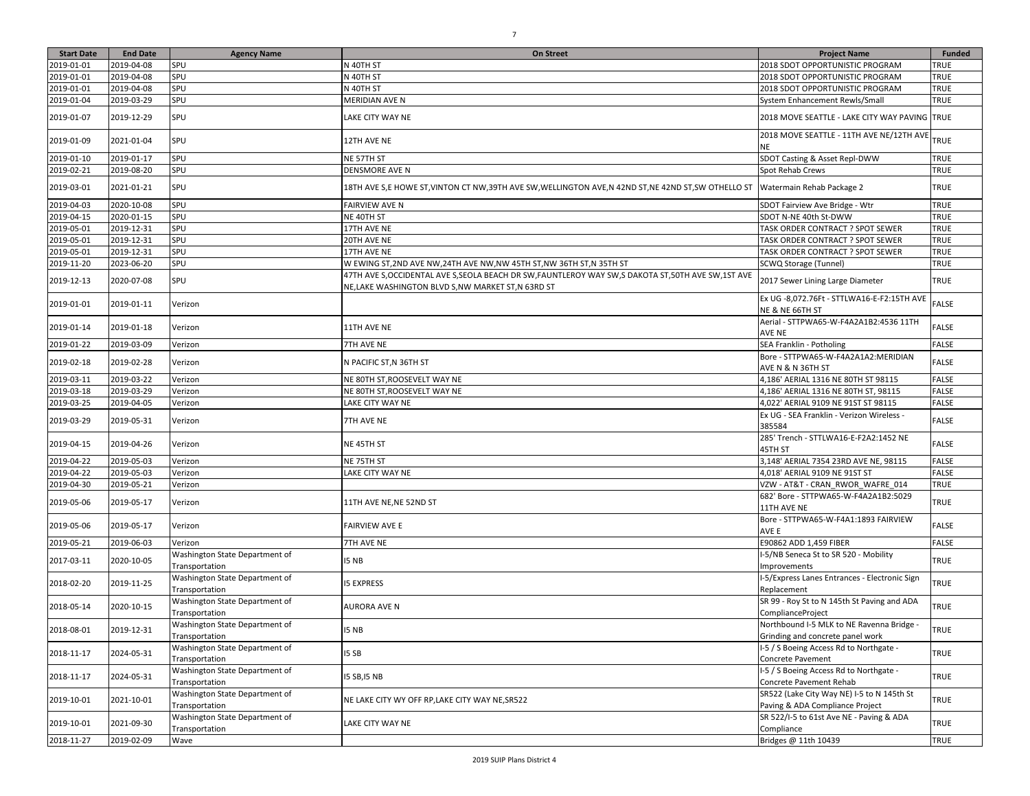| <b>Start Date</b> | <b>End Date</b> | <b>Agency Name</b>                               | <b>On Street</b>                                                                                      | <b>Project Name</b>                                                           | <b>Funded</b> |
|-------------------|-----------------|--------------------------------------------------|-------------------------------------------------------------------------------------------------------|-------------------------------------------------------------------------------|---------------|
| 2019-01-01        | 2019-04-08      | SPU                                              | N 40TH ST                                                                                             | 2018 SDOT OPPORTUNISTIC PROGRAM                                               | <b>TRUE</b>   |
| 2019-01-01        | 2019-04-08      | SPU                                              | N 40TH ST                                                                                             | 2018 SDOT OPPORTUNISTIC PROGRAM                                               | <b>TRUE</b>   |
| 2019-01-01        | 2019-04-08      | SPU                                              | N 40TH ST                                                                                             | 2018 SDOT OPPORTUNISTIC PROGRAM                                               | <b>TRUE</b>   |
| 2019-01-04        | 2019-03-29      | SPU                                              | MERIDIAN AVE N                                                                                        | System Enhancement Rewls/Small                                                | TRUE          |
|                   |                 |                                                  |                                                                                                       |                                                                               |               |
| 2019-01-07        | 2019-12-29      | SPU                                              | LAKE CITY WAY NE                                                                                      | 2018 MOVE SEATTLE - LAKE CITY WAY PAVING TRUE                                 |               |
| 2019-01-09        | 2021-01-04      | SPU                                              | 12TH AVE NE                                                                                           | 2018 MOVE SEATTLE - 11TH AVE NE/12TH AVE<br>NE                                | <b>TRUE</b>   |
| 2019-01-10        | 2019-01-17      | SPU                                              | NE 57TH ST                                                                                            | SDOT Casting & Asset Repl-DWW                                                 | <b>TRUE</b>   |
| 2019-02-21        | 2019-08-20      | SPU                                              | DENSMORE AVE N                                                                                        | Spot Rehab Crews                                                              | TRUE          |
| 2019-03-01        | 2021-01-21      | SPU                                              | 18TH AVE S,E HOWE ST, VINTON CT NW, 39TH AVE SW, WELLINGTON AVE, N 42ND ST, NE 42ND ST, SW OTHELLO ST | Watermain Rehab Package 2                                                     | <b>TRUE</b>   |
| 2019-04-03        | 2020-10-08      | SPU                                              | <b>FAIRVIEW AVE N</b>                                                                                 | SDOT Fairview Ave Bridge - Wtr                                                | TRUE          |
| 2019-04-15        | 2020-01-15      | SPU                                              | NE 40TH ST                                                                                            | SDOT N-NE 40th St-DWW                                                         | TRUE          |
| 2019-05-01        | 2019-12-31      | SPU                                              | 17TH AVE NE                                                                                           | TASK ORDER CONTRACT ? SPOT SEWER                                              | TRUE          |
| 2019-05-01        | 2019-12-31      | SPU                                              | 20TH AVE NE                                                                                           | TASK ORDER CONTRACT ? SPOT SEWER                                              | <b>TRUE</b>   |
| 2019-05-01        | 2019-12-31      | SPU                                              | 17TH AVE NE                                                                                           | TASK ORDER CONTRACT ? SPOT SEWER                                              | <b>TRUE</b>   |
| 2019-11-20        | 2023-06-20      | SPU                                              | W EWING ST, 2ND AVE NW, 24TH AVE NW, NW 45TH ST, NW 36TH ST, N 35TH ST                                | SCWQ Storage (Tunnel)                                                         | TRUE          |
|                   |                 |                                                  | 47TH AVE S, OCCIDENTAL AVE S, SEOLA BEACH DR SW, FAUNTLEROY WAY SW, S DAKOTA ST, 50TH AVE SW, 1ST AVE |                                                                               |               |
| 2019-12-13        | 2020-07-08      | SPU                                              | NE,LAKE WASHINGTON BLVD S,NW MARKET ST,N 63RD ST                                                      | 2017 Sewer Lining Large Diameter                                              | TRUE          |
| 2019-01-01        | 2019-01-11      | Verizon                                          |                                                                                                       | Ex UG -8,072.76Ft - STTLWA16-E-F2:15TH AVE<br>NE & NE 66TH ST                 | <b>FALSE</b>  |
| 2019-01-14        | 2019-01-18      | Verizon                                          | 11TH AVE NE                                                                                           | Aerial - STTPWA65-W-F4A2A1B2:4536 11TH<br>AVE NE                              | <b>FALSE</b>  |
| 2019-01-22        | 2019-03-09      | Verizon                                          | 7TH AVE NE                                                                                            | SEA Franklin - Potholing                                                      | <b>FALSE</b>  |
| 2019-02-18        | 2019-02-28      | Verizon                                          | N PACIFIC ST, N 36TH ST                                                                               | Bore - STTPWA65-W-F4A2A1A2:MERIDIAN<br>AVE N & N 36TH ST                      | <b>FALSE</b>  |
| 2019-03-11        | 2019-03-22      | Verizon                                          | NE 80TH ST, ROOSEVELT WAY NE                                                                          | 4,186' AERIAL 1316 NE 80TH ST 98115                                           | <b>FALSE</b>  |
| 2019-03-18        | 2019-03-29      | Verizon                                          | NE 80TH ST, ROOSEVELT WAY NE                                                                          | 4,186' AERIAL 1316 NE 80TH ST, 98115                                          | <b>FALSE</b>  |
| 2019-03-25        | 2019-04-05      | Verizon                                          | LAKE CITY WAY NE                                                                                      | 4,022' AERIAL 9109 NE 91ST ST 98115                                           | <b>FALSE</b>  |
|                   |                 |                                                  |                                                                                                       | Ex UG - SEA Franklin - Verizon Wireless -                                     |               |
| 2019-03-29        | 2019-05-31      | Verizon                                          | 7TH AVE NE                                                                                            | 385584                                                                        | <b>FALSE</b>  |
| 2019-04-15        | 2019-04-26      | Verizon                                          | NE 45TH ST                                                                                            | 285' Trench - STTLWA16-E-F2A2:1452 NE<br>45TH ST                              | <b>FALSE</b>  |
| 2019-04-22        | 2019-05-03      | Verizon                                          | NE 75TH ST                                                                                            | 3,148' AERIAL 7354 23RD AVE NE, 98115                                         | <b>FALSE</b>  |
| 2019-04-22        | 2019-05-03      | Verizon                                          | LAKE CITY WAY NE                                                                                      | 4,018' AERIAL 9109 NE 91ST ST                                                 | <b>FALSE</b>  |
| 2019-04-30        | 2019-05-21      | Verizon                                          |                                                                                                       | VZW - AT&T - CRAN RWOR WAFRE 014                                              | <b>TRUE</b>   |
|                   |                 |                                                  |                                                                                                       | 682' Bore - STTPWA65-W-F4A2A1B2:5029                                          |               |
| 2019-05-06        | 2019-05-17      | Verizon                                          | 11TH AVE NE, NE 52ND ST                                                                               | 11TH AVE NE                                                                   | <b>TRUE</b>   |
| 2019-05-06        | 2019-05-17      | Verizon                                          | <b>FAIRVIEW AVE E</b>                                                                                 | Bore - STTPWA65-W-F4A1:1893 FAIRVIEW<br>AVE E                                 | <b>FALSE</b>  |
| 2019-05-21        | 2019-06-03      | Verizon                                          | 7TH AVE NE                                                                                            | E90862 ADD 1,459 FIBER                                                        | <b>FALSE</b>  |
|                   |                 | Washington State Department of                   |                                                                                                       | I-5/NB Seneca St to SR 520 - Mobility                                         |               |
| 2017-03-11        | 2020-10-05      | Transportation                                   | I5 NB                                                                                                 | Improvements                                                                  | <b>TRUE</b>   |
| 2018-02-20        | 2019-11-25      | Washington State Department of<br>Transportation | <b>5 EXPRESS</b>                                                                                      | I-5/Express Lanes Entrances - Electronic Sign<br>Replacement                  | <b>TRUE</b>   |
| 2018-05-14        | 2020-10-15      | Washington State Department of                   | <b>AURORA AVE N</b>                                                                                   | SR 99 - Roy St to N 145th St Paving and ADA                                   | <b>TRUE</b>   |
|                   |                 | Transportation                                   |                                                                                                       | ComplianceProject                                                             |               |
| 2018-08-01        | 2019-12-31      | Washington State Department of<br>Transportation | 15 NB                                                                                                 | Northbound I-5 MLK to NE Ravenna Bridge -<br>Grinding and concrete panel work | <b>TRUE</b>   |
| 2018-11-17        | 2024-05-31      | Washington State Department of<br>Transportation | I5 SB                                                                                                 | I-5 / S Boeing Access Rd to Northgate -<br>Concrete Pavement                  | TRUE          |
| 2018-11-17        | 2024-05-31      | Washington State Department of<br>Transportation | 15 SB,15 NB                                                                                           | I-5 / S Boeing Access Rd to Northgate -<br>Concrete Pavement Rehab            | TRUE          |
| 2019-10-01        | 2021-10-01      | Washington State Department of<br>Transportation | NE LAKE CITY WY OFF RP, LAKE CITY WAY NE, SR522                                                       | SR522 (Lake City Way NE) I-5 to N 145th St<br>Paving & ADA Compliance Project | TRUE          |
| 2019-10-01        | 2021-09-30      | Washington State Department of                   | LAKE CITY WAY NE                                                                                      | SR 522/I-5 to 61st Ave NE - Paving & ADA                                      | TRUE          |
|                   |                 | Transportation                                   |                                                                                                       | Compliance                                                                    |               |
| 2018-11-27        | 2019-02-09      | Wave                                             |                                                                                                       | Bridges @ 11th 10439                                                          | TRUE          |